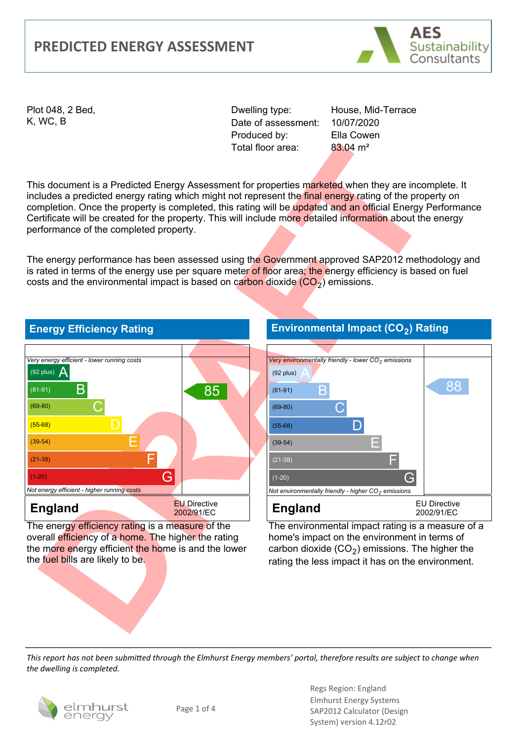#### **PREDICTED ENERGY ASSESSMENT**



Plot 048, 2 Bed, K, WC, B

Dwelling type: Date of assessment: Produced by: Total floor area:

House, Mid-Terrace 10/07/2020 Ella Cowen 83.04 m²

This document is a Predicted Energy Assessment for properties marketed when they are incomplete. It includes a predicted energy rating which might not represent the final energy rating of the property on completion. Once the property is completed, this rating will be updated and an official Energy Performance Certificate will be created for the property. This will include more detailed information about the energy performance of the completed property.

The energy performance has been assessed using the Government approved SAP2012 methodology and is rated in terms of the energy use per square meter of floor area; the energy efficiency is based on fuel costs and the environmental impact is based on carbon dioxide  $(CO<sub>2</sub>)$  emissions.



The energy efficiency rating is a measure of the overall efficiency of a home. The higher the rating the more energy efficient the home is and the lower the fuel bills are likely to be.

#### **Environmental Impact (CO2) Rating**



The environmental impact rating is a measure of a home's impact on the environment in terms of carbon dioxide  $(CO<sub>2</sub>)$  emissions. The higher the rating the less impact it has on the environment.

*This report has not been submitted through the Elmhurst Energy members' portal, therefore results are subject to change when the dwelling is completed.*



Regs Region: England Elmhurst Energy Systems SAP2012 Calculator (Design System) version 4.12r02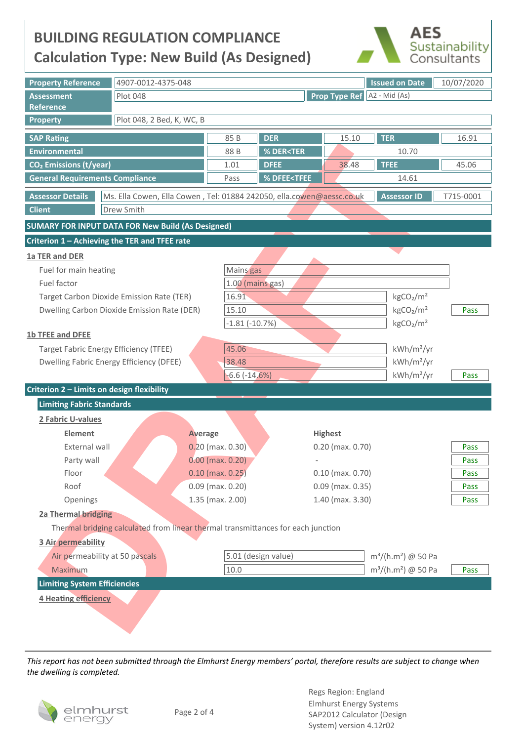## **BUILDING REGULATION COMPLIANCE Calculation Type: New Build (As Designed)**



| <b>Property Reference</b>                                |       | 4907-0012-4375-048                                                                                       |                | <b>Issued on Date</b><br>10/07/2020               |                                                              |                                   |                                           |              |  |  |  |
|----------------------------------------------------------|-------|----------------------------------------------------------------------------------------------------------|----------------|---------------------------------------------------|--------------------------------------------------------------|-----------------------------------|-------------------------------------------|--------------|--|--|--|
| <b>Assessment</b>                                        |       | <b>Plot 048</b><br><b>Prop Type Ref</b> A2 - Mid (As)                                                    |                |                                                   |                                                              |                                   |                                           |              |  |  |  |
| <b>Reference</b>                                         |       |                                                                                                          |                |                                                   |                                                              |                                   |                                           |              |  |  |  |
| <b>Property</b>                                          |       | Plot 048, 2 Bed, K, WC, B                                                                                |                |                                                   |                                                              |                                   |                                           |              |  |  |  |
| <b>SAP Rating</b>                                        |       |                                                                                                          |                | 85 B                                              | <b>DER</b>                                                   | 15.10                             | <b>TER</b>                                | 16.91        |  |  |  |
| <b>Environmental</b>                                     |       |                                                                                                          |                | 88 B                                              | <b>% DER<ter< b=""><br/>10.70</ter<></b>                     |                                   |                                           |              |  |  |  |
| CO <sub>2</sub> Emissions (t/year)                       |       |                                                                                                          |                | 1.01                                              | <b>DFEE</b>                                                  | 38.48                             | <b>TFEE</b>                               | 45.06        |  |  |  |
| <b>General Requirements Compliance</b>                   |       |                                                                                                          |                | Pass                                              | % DFEE <tfee< th=""><th></th><th>14.61</th><th></th></tfee<> |                                   | 14.61                                     |              |  |  |  |
| <b>Assessor Details</b>                                  |       | Ms. Ella Cowen, Ella Cowen, Tel: 01884 242050, ella.cowen@aessc.co.uk<br><b>Assessor ID</b><br>T715-0001 |                |                                                   |                                                              |                                   |                                           |              |  |  |  |
| <b>Client</b>                                            |       | Drew Smith                                                                                               |                |                                                   |                                                              |                                   |                                           |              |  |  |  |
| <b>SUMARY FOR INPUT DATA FOR New Build (As Designed)</b> |       |                                                                                                          |                |                                                   |                                                              |                                   |                                           |              |  |  |  |
| Criterion 1 - Achieving the TER and TFEE rate            |       |                                                                                                          |                |                                                   |                                                              |                                   |                                           |              |  |  |  |
| 1a TER and DER                                           |       |                                                                                                          |                |                                                   |                                                              |                                   |                                           |              |  |  |  |
| Fuel for main heating                                    |       |                                                                                                          |                | Mains gas                                         |                                                              |                                   |                                           |              |  |  |  |
| Fuel factor                                              |       |                                                                                                          |                | 1.00 (mains gas)                                  |                                                              |                                   |                                           |              |  |  |  |
| Target Carbon Dioxide Emission Rate (TER)                |       |                                                                                                          |                | 16.91                                             |                                                              |                                   | kgCO <sub>2</sub> /m <sup>2</sup>         |              |  |  |  |
| Dwelling Carbon Dioxide Emission Rate (DER)              |       |                                                                                                          |                | 15.10                                             |                                                              |                                   | kgCO <sub>2</sub> /m <sup>2</sup><br>Pass |              |  |  |  |
|                                                          |       |                                                                                                          |                | $-1.81(-10.7%)$                                   |                                                              | kgCO <sub>2</sub> /m <sup>2</sup> |                                           |              |  |  |  |
| <b>1b TFEE and DFEE</b>                                  |       |                                                                                                          |                |                                                   |                                                              |                                   |                                           |              |  |  |  |
| <b>Target Fabric Energy Efficiency (TFEE)</b>            |       |                                                                                                          |                | 45.06<br>kWh/m <sup>2</sup> /yr                   |                                                              |                                   |                                           |              |  |  |  |
| Dwelling Fabric Energy Efficiency (DFEE)                 |       |                                                                                                          |                | 38.48                                             |                                                              |                                   | $kWh/m^2/yr$                              |              |  |  |  |
|                                                          |       |                                                                                                          |                | $-6.6$ $(-14.6%)$                                 |                                                              |                                   | $kWh/m^2/yr$                              | Pass         |  |  |  |
| Criterion 2 - Limits on design flexibility               |       |                                                                                                          |                |                                                   |                                                              |                                   |                                           |              |  |  |  |
| <b>Limiting Fabric Standards</b>                         |       |                                                                                                          |                |                                                   |                                                              |                                   |                                           |              |  |  |  |
| 2 Fabric U-values                                        |       |                                                                                                          |                |                                                   |                                                              |                                   |                                           |              |  |  |  |
| <b>Element</b>                                           |       |                                                                                                          | <b>Average</b> | <b>Highest</b>                                    |                                                              |                                   |                                           |              |  |  |  |
| <b>External wall</b>                                     |       |                                                                                                          |                | $0.20$ (max. $0.30$ )<br>$0.20$ (max. $0.70$ )    |                                                              |                                   |                                           | Pass         |  |  |  |
| Party wall                                               |       |                                                                                                          |                | $0.00$ (max. $0.20$ )<br>$\overline{\phantom{a}}$ |                                                              |                                   |                                           | Pass<br>Pass |  |  |  |
|                                                          | Floor |                                                                                                          |                | $0.10$ (max. $0.25$ )                             |                                                              | $0.10$ (max. $0.70$ )             |                                           |              |  |  |  |
|                                                          | Roof  |                                                                                                          |                | $0.09$ (max. $0.20$ )<br>$0.09$ (max. $0.35$ )    |                                                              |                                   | Pass                                      |              |  |  |  |
| Openings                                                 |       |                                                                                                          |                | $1.35$ (max. $2.00$ )<br>1.40 (max. 3.30)         |                                                              |                                   |                                           | Pass         |  |  |  |
| <b>2a Thermal bridging</b>                               |       |                                                                                                          |                |                                                   |                                                              |                                   |                                           |              |  |  |  |
|                                                          |       | Thermal bridging calculated from linear thermal transmittances for each junction                         |                |                                                   |                                                              |                                   |                                           |              |  |  |  |
| 3 Air permeability                                       |       |                                                                                                          |                |                                                   |                                                              |                                   |                                           |              |  |  |  |
| Air permeability at 50 pascals                           |       |                                                                                                          |                | 5.01 (design value)                               |                                                              |                                   | $m^3/(h.m^2)$ @ 50 Pa                     |              |  |  |  |
| Maximum<br><b>Limiting System Efficiencies</b>           |       |                                                                                                          |                | 10.0                                              |                                                              |                                   | $m^3/(h.m^2)$ @ 50 Pa                     | Pass         |  |  |  |
|                                                          |       |                                                                                                          |                |                                                   |                                                              |                                   |                                           |              |  |  |  |
| 4 Heating efficiency                                     |       |                                                                                                          |                |                                                   |                                                              |                                   |                                           |              |  |  |  |
|                                                          |       |                                                                                                          |                |                                                   |                                                              |                                   |                                           |              |  |  |  |
|                                                          |       |                                                                                                          |                |                                                   |                                                              |                                   |                                           |              |  |  |  |

*This report has not been submiƩed through the Elmhurst Energy members' portal, therefore results are subject to change when the dwelling is completed.*

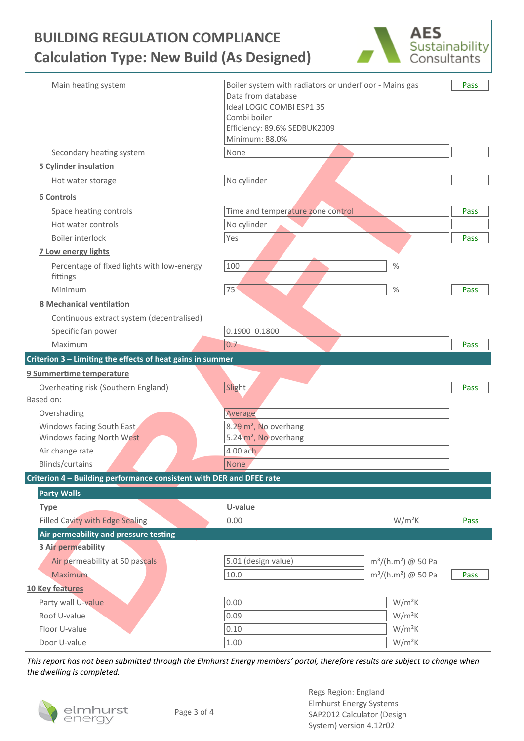# **BUILDING REGULATION COMPLIANCE Calculation Type: New Build (As Designed)**



| Main heating system                                                                                      | Boiler system with radiators or underfloor - Mains gas | Pass |
|----------------------------------------------------------------------------------------------------------|--------------------------------------------------------|------|
|                                                                                                          | Data from database                                     |      |
|                                                                                                          | Ideal LOGIC COMBI ESP1 35<br>Combi boiler              |      |
|                                                                                                          | Efficiency: 89.6% SEDBUK2009                           |      |
|                                                                                                          | Minimum: 88.0%                                         |      |
| Secondary heating system                                                                                 | None                                                   |      |
| <b>5 Cylinder insulation</b>                                                                             |                                                        |      |
| Hot water storage                                                                                        | No cylinder                                            |      |
| 6 Controls                                                                                               |                                                        |      |
| Space heating controls                                                                                   | Time and temperature zone control                      | Pass |
| Hot water controls                                                                                       | No cylinder                                            |      |
| Boiler interlock                                                                                         | Yes                                                    | Pass |
| 7 Low energy lights                                                                                      |                                                        |      |
| Percentage of fixed lights with low-energy                                                               | 100<br>%                                               |      |
| fittings                                                                                                 |                                                        |      |
| Minimum                                                                                                  | 75<br>$\frac{0}{0}$                                    | Pass |
| <b>8 Mechanical ventilation</b>                                                                          |                                                        |      |
| Continuous extract system (decentralised)                                                                |                                                        |      |
| Specific fan power                                                                                       | 0.1900 0.1800                                          |      |
| Maximum                                                                                                  | 0.7                                                    | Pass |
| Criterion 3 - Limiting the effects of heat gains in summer                                               |                                                        |      |
|                                                                                                          |                                                        |      |
|                                                                                                          |                                                        |      |
| Overheating risk (Southern England)                                                                      | Slight                                                 | Pass |
|                                                                                                          |                                                        |      |
| Overshading                                                                                              | Average                                                |      |
| Windows facing South East                                                                                | 8.29 m <sup>2</sup> , No overhang                      |      |
| 9 Summertime temperature<br>Based on:<br>Windows facing North West                                       | 5.24 m <sup>2</sup> , No overhang                      |      |
| Air change rate                                                                                          | 4.00 ach                                               |      |
| Blinds/curtains                                                                                          | None                                                   |      |
|                                                                                                          |                                                        |      |
| <b>Party Walls</b>                                                                                       |                                                        |      |
| <b>Type</b>                                                                                              | U-value                                                |      |
| <b>Filled Cavity with Edge Sealing</b>                                                                   | 0.00<br>$W/m^2K$                                       | Pass |
| Air permeability and pressure testing                                                                    |                                                        |      |
| 3 Air permeability                                                                                       |                                                        |      |
| Air permeability at 50 pascals                                                                           | 5.01 (design value)<br>$m^3/(h.m^2)$ @ 50 Pa           |      |
| <b>Maximum</b>                                                                                           | 10.0<br>$m^3/(h.m^2)$ @ 50 Pa                          | Pass |
|                                                                                                          |                                                        |      |
| Party wall U-value                                                                                       | 0.00<br>$W/m^2K$                                       |      |
| Roof U-value                                                                                             | 0.09<br>$W/m^2K$                                       |      |
| Criterion 4 - Building performance consistent with DER and DFEE rate<br>10 Key features<br>Floor U-value | $W/m^2K$<br>0.10<br>$W/m^2K$                           |      |

*This report has not been submiƩed through the Elmhurst Energy members' portal, therefore results are subject to change when the dwelling is completed.*